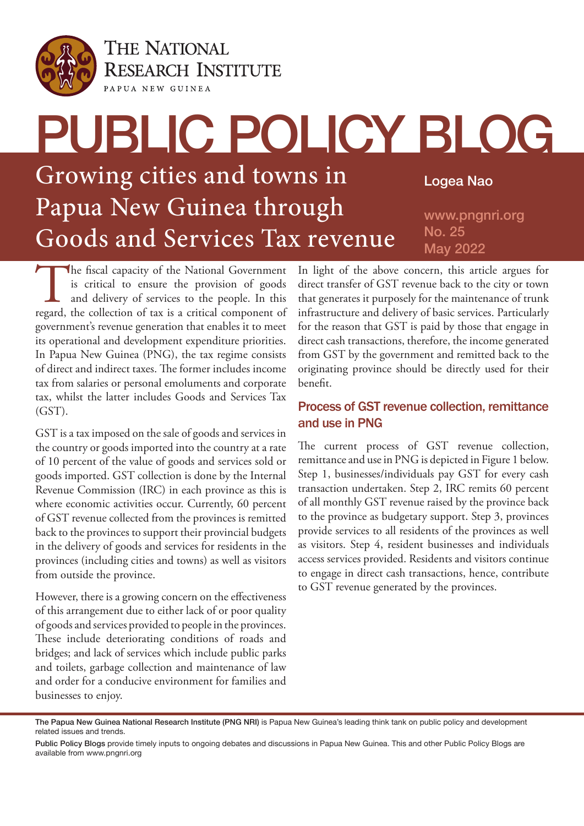

**THE NATIONAL RESEARCH INSTITUTE** PAPUA NEW GUINEA

# PUBLIC POLICY BLOG Growing cities and towns in Papua New Guinea through Goods and Services Tax revenue Logea Nao www.pngnri.org No. 25 May 2022

The fiscal capacity of the National Government is critical to ensure the provision of goods and delivery of services to the people. In this regard, the collection of tax is a critical component of is critical to ensure the provision of goods and delivery of services to the people. In this government's revenue generation that enables it to meet its operational and development expenditure priorities. In Papua New Guinea (PNG), the tax regime consists of direct and indirect taxes. The former includes income tax from salaries or personal emoluments and corporate tax, whilst the latter includes Goods and Services Tax (GST).

GST is a tax imposed on the sale of goods and services in the country or goods imported into the country at a rate of 10 percent of the value of goods and services sold or goods imported. GST collection is done by the Internal Revenue Commission (IRC) in each province as this is where economic activities occur. Currently, 60 percent of GST revenue collected from the provinces is remitted back to the provinces to support their provincial budgets in the delivery of goods and services for residents in the provinces (including cities and towns) as well as visitors from outside the province.

However, there is a growing concern on the effectiveness of this arrangement due to either lack of or poor quality of goods and services provided to people in the provinces. These include deteriorating conditions of roads and bridges; and lack of services which include public parks and toilets, garbage collection and maintenance of law and order for a conducive environment for families and businesses to enjoy.

In light of the above concern, this article argues for direct transfer of GST revenue back to the city or town that generates it purposely for the maintenance of trunk infrastructure and delivery of basic services. Particularly for the reason that GST is paid by those that engage in direct cash transactions, therefore, the income generated from GST by the government and remitted back to the originating province should be directly used for their benefit.

## Process of GST revenue collection, remittance and use in PNG

The current process of GST revenue collection, remittance and use in PNG is depicted in Figure 1 below. Step 1, businesses/individuals pay GST for every cash transaction undertaken. Step 2, IRC remits 60 percent of all monthly GST revenue raised by the province back to the province as budgetary support. Step 3, provinces provide services to all residents of the provinces as well as visitors. Step 4, resident businesses and individuals access services provided. Residents and visitors continue to engage in direct cash transactions, hence, contribute to GST revenue generated by the provinces.

Public Policy Blogs provide timely inputs to ongoing debates and discussions in Papua New Guinea. This and other Public Policy Blogs are available from www.pngnri.org

The Papua New Guinea National Research Institute (PNG NRI) is Papua New Guinea's leading think tank on public policy and development related issues and trends.